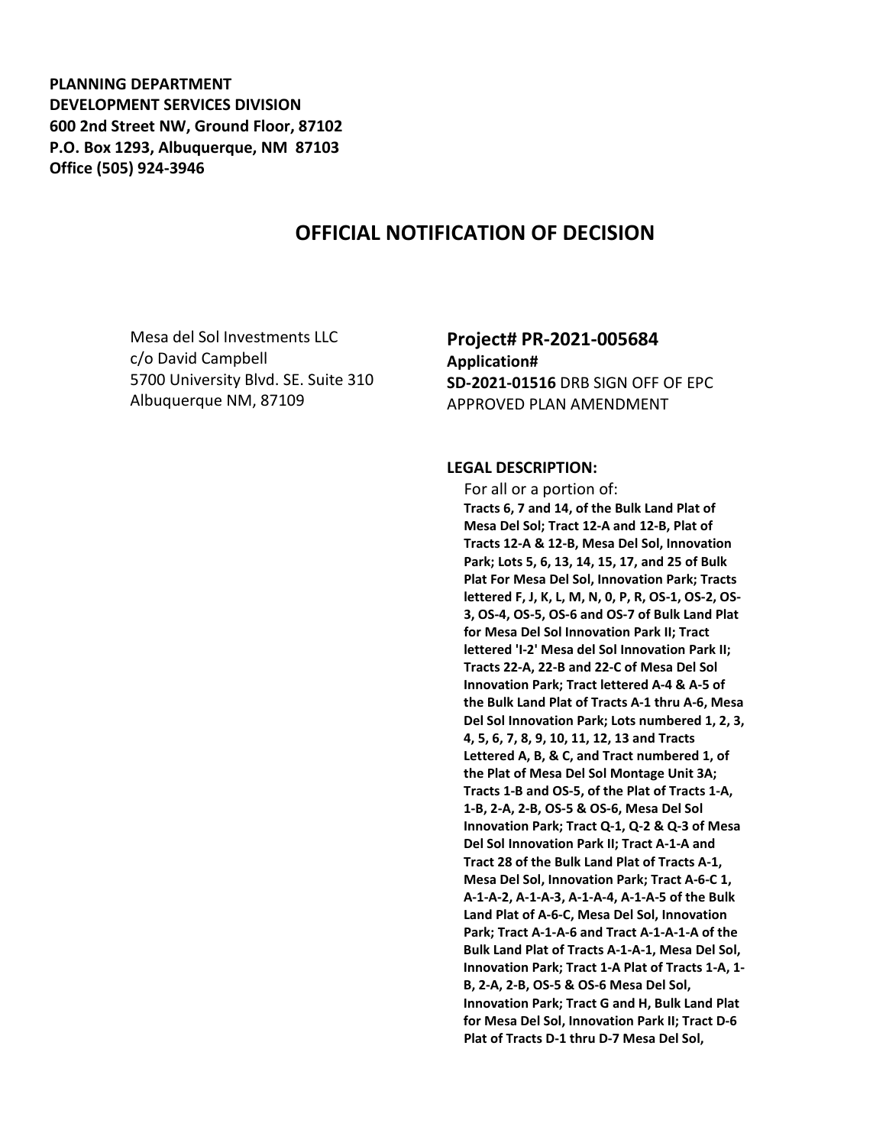**PLANNING DEPARTMENT DEVELOPMENT SERVICES DIVISION 600 2nd Street NW, Ground Floor, 87102 P.O. Box 1293, Albuquerque, NM 87103 Office (505) 924-3946** 

## **OFFICIAL NOTIFICATION OF DECISION**

Mesa del Sol Investments LLC c/o David Campbell 5700 University Blvd. SE. Suite 310 Albuquerque NM, 87109

## **Project# PR-2021-005684 Application# SD-2021-01516** DRB SIGN OFF OF EPC APPROVED PLAN AMENDMENT

## **LEGAL DESCRIPTION:**

 For all or a portion of: **Tracts 6, 7 and 14, of the Bulk Land Plat of Mesa Del Sol; Tract 12-A and 12-B, Plat of Tracts 12-A & 12-B, Mesa Del Sol, Innovation Park; Lots 5, 6, 13, 14, 15, 17, and 25 of Bulk Plat For Mesa Del Sol, Innovation Park; Tracts lettered F, J, K, L, M, N, 0, P, R, OS-1, OS-2, OS-3, OS-4, OS-5, OS-6 and OS-7 of Bulk Land Plat for Mesa Del Sol Innovation Park II; Tract lettered 'I-2' Mesa del Sol Innovation Park II; Tracts 22-A, 22-B and 22-C of Mesa Del Sol Innovation Park; Tract lettered A-4 & A-5 of the Bulk Land Plat of Tracts A-1 thru A-6, Mesa Del Sol Innovation Park; Lots numbered 1, 2, 3, 4, 5, 6, 7, 8, 9, 10, 11, 12, 13 and Tracts Lettered A, B, & C, and Tract numbered 1, of the Plat of Mesa Del Sol Montage Unit 3A; Tracts 1-B and OS-5, of the Plat of Tracts 1-A, 1-B, 2-A, 2-B, OS-5 & OS-6, Mesa Del Sol Innovation Park; Tract Q-1, Q-2 & Q-3 of Mesa Del Sol Innovation Park II; Tract A-1-A and Tract 28 of the Bulk Land Plat of Tracts A-1, Mesa Del Sol, Innovation Park; Tract A-6-C 1, A-1-A-2, A-1-A-3, A-1-A-4, A-1-A-5 of the Bulk Land Plat of A-6-C, Mesa Del Sol, Innovation Park; Tract A-1-A-6 and Tract A-1-A-1-A of the Bulk Land Plat of Tracts A-1-A-1, Mesa Del Sol, Innovation Park; Tract 1-A Plat of Tracts 1-A, 1- B, 2-A, 2-B, OS-5 & OS-6 Mesa Del Sol, Innovation Park; Tract G and H, Bulk Land Plat for Mesa Del Sol, Innovation Park II; Tract D-6 Plat of Tracts D-1 thru D-7 Mesa Del Sol,**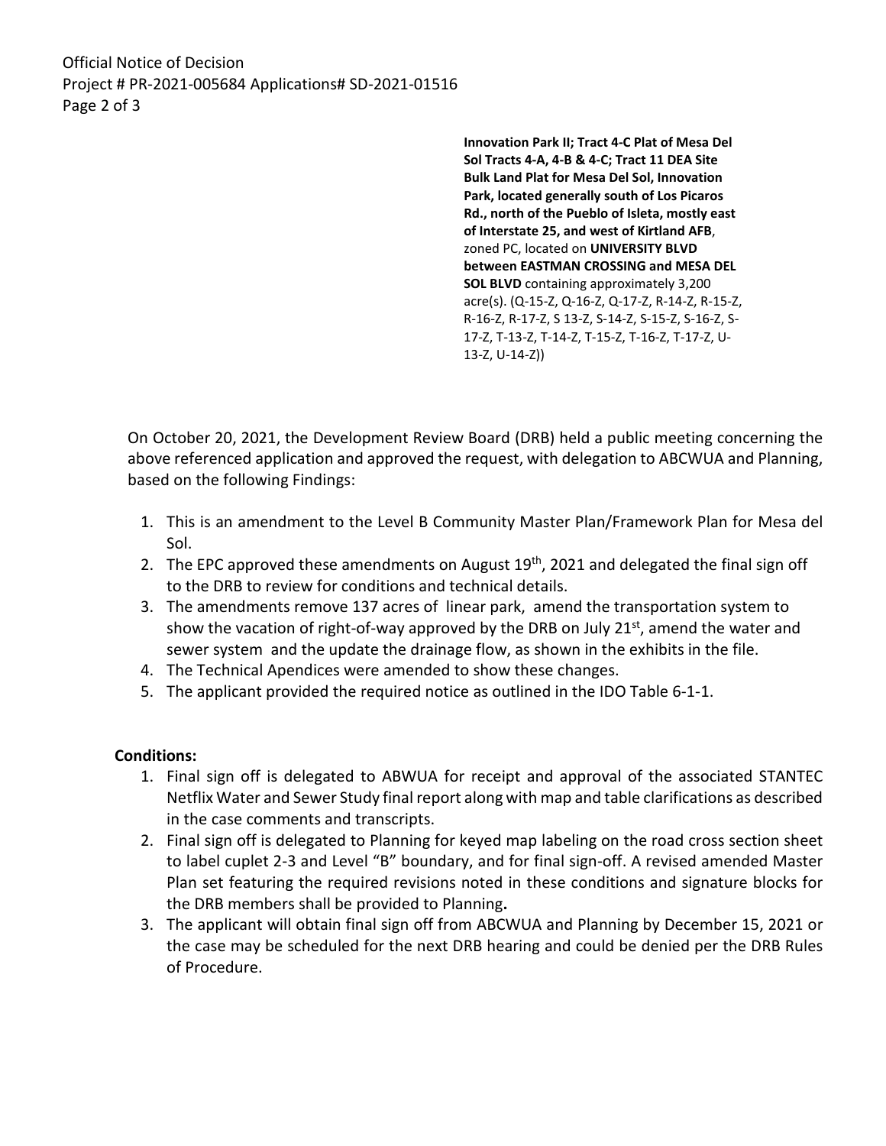Official Notice of Decision Project # PR-2021-005684 Applications# SD-2021-01516 Page 2 of 3

> **Innovation Park II; Tract 4-C Plat of Mesa Del Sol Tracts 4-A, 4-B & 4-C; Tract 11 DEA Site Bulk Land Plat for Mesa Del Sol, Innovation Park, located generally south of Los Picaros Rd., north of the Pueblo of Isleta, mostly east of Interstate 25, and west of Kirtland AFB**, zoned PC, located on **UNIVERSITY BLVD between EASTMAN CROSSING and MESA DEL SOL BLVD** containing approximately 3,200 acre(s). (Q-15-Z, Q-16-Z, Q-17-Z, R-14-Z, R-15-Z, R-16-Z, R-17-Z, S 13-Z, S-14-Z, S-15-Z, S-16-Z, S-17-Z, T-13-Z, T-14-Z, T-15-Z, T-16-Z, T-17-Z, U-13-Z, U-14-Z))

On October 20, 2021, the Development Review Board (DRB) held a public meeting concerning the above referenced application and approved the request, with delegation to ABCWUA and Planning, based on the following Findings:

- 1. This is an amendment to the Level B Community Master Plan/Framework Plan for Mesa del Sol.
- 2. The EPC approved these amendments on August  $19<sup>th</sup>$ , 2021 and delegated the final sign off to the DRB to review for conditions and technical details.
- 3. The amendments remove 137 acres of linear park, amend the transportation system to show the vacation of right-of-way approved by the DRB on July  $21<sup>st</sup>$ , amend the water and sewer system and the update the drainage flow, as shown in the exhibits in the file.
- 4. The Technical Apendices were amended to show these changes.
- 5. The applicant provided the required notice as outlined in the IDO Table 6-1-1.

## **Conditions:**

- 1. Final sign off is delegated to ABWUA for receipt and approval of the associated STANTEC Netflix Water and Sewer Study final report along with map and table clarifications as described in the case comments and transcripts.
- 2. Final sign off is delegated to Planning for keyed map labeling on the road cross section sheet to label cuplet 2-3 and Level "B" boundary, and for final sign-off. A revised amended Master Plan set featuring the required revisions noted in these conditions and signature blocks for the DRB members shall be provided to Planning**.**
- 3. The applicant will obtain final sign off from ABCWUA and Planning by December 15, 2021 or the case may be scheduled for the next DRB hearing and could be denied per the DRB Rules of Procedure.